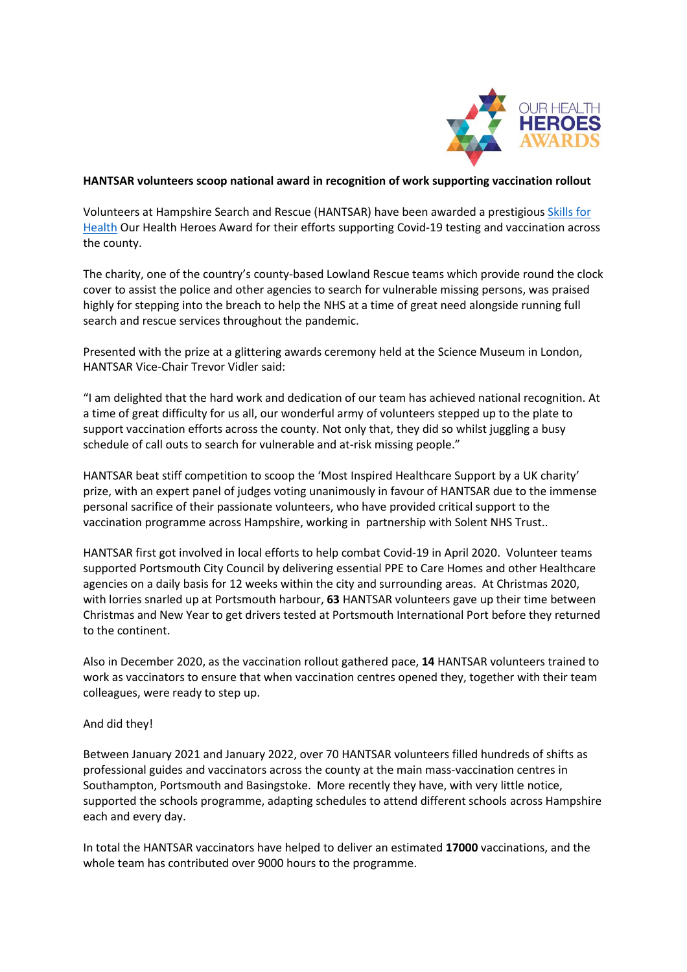

## **HANTSAR volunteers scoop national award in recognition of work supporting vaccination rollout**

Volunteers at Hampshire Search and Rescue (HANTSAR) have been awarded a prestigiou[s Skills for](https://www.skillsforhealth.org.uk/)  [Health](https://www.skillsforhealth.org.uk/) Our Health Heroes Award for their efforts supporting Covid-19 testing and vaccination across the county.

The charity, one of the country's county-based Lowland Rescue teams which provide round the clock cover to assist the police and other agencies to search for vulnerable missing persons, was praised highly for stepping into the breach to help the NHS at a time of great need alongside running full search and rescue services throughout the pandemic.

Presented with the prize at a glittering awards ceremony held at the Science Museum in London, HANTSAR Vice-Chair Trevor Vidler said:

"I am delighted that the hard work and dedication of our team has achieved national recognition. At a time of great difficulty for us all, our wonderful army of volunteers stepped up to the plate to support vaccination efforts across the county. Not only that, they did so whilst juggling a busy schedule of call outs to search for vulnerable and at-risk missing people."

HANTSAR beat stiff competition to scoop the 'Most Inspired Healthcare Support by a UK charity' prize, with an expert panel of judges voting unanimously in favour of HANTSAR due to the immense personal sacrifice of their passionate volunteers, who have provided critical support to the vaccination programme across Hampshire, working in partnership with Solent NHS Trust..

HANTSAR first got involved in local efforts to help combat Covid-19 in April 2020. Volunteer teams supported Portsmouth City Council by delivering essential PPE to Care Homes and other Healthcare agencies on a daily basis for 12 weeks within the city and surrounding areas. At Christmas 2020, with lorries snarled up at Portsmouth harbour, **63** HANTSAR volunteers gave up their time between Christmas and New Year to get drivers tested at Portsmouth International Port before they returned to the continent.

Also in December 2020, as the vaccination rollout gathered pace, **14** HANTSAR volunteers trained to work as vaccinators to ensure that when vaccination centres opened they, together with their team colleagues, were ready to step up.

## And did they!

Between January 2021 and January 2022, over 70 HANTSAR volunteers filled hundreds of shifts as professional guides and vaccinators across the county at the main mass-vaccination centres in Southampton, Portsmouth and Basingstoke. More recently they have, with very little notice, supported the schools programme, adapting schedules to attend different schools across Hampshire each and every day.

In total the HANTSAR vaccinators have helped to deliver an estimated **17000** vaccinations, and the whole team has contributed over 9000 hours to the programme.